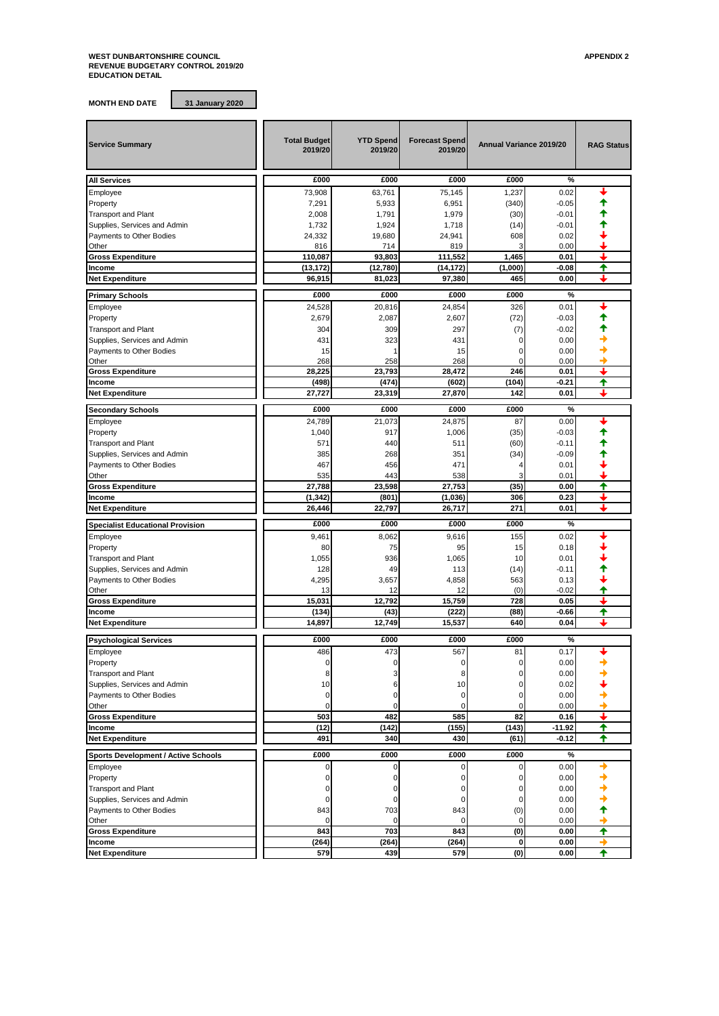## **WEST DUNBARTONSHIRE COUNCIL APPENDIX 2 REVENUE BUDGETARY CONTROL 2019/20 EDUCATION DETAIL**

**MONTH END DATE 31 January 2020**

| <b>Service Summary</b>                     | <b>Total Budget</b><br>2019/20 | <b>YTD Spend</b><br>2019/20 | <b>Forecast Spend</b><br>2019/20 | Annual Variance 2019/20 |              | <b>RAG Status</b> |
|--------------------------------------------|--------------------------------|-----------------------------|----------------------------------|-------------------------|--------------|-------------------|
| <b>All Services</b>                        | £000                           | £000                        | £000                             | £000                    | %            |                   |
| Employee                                   | 73,908                         | 63,761                      | 75,145                           | 1,237                   | 0.02         |                   |
| Property                                   | 7,291                          | 5,933                       | 6,951                            | (340)                   | $-0.05$      |                   |
| <b>Transport and Plant</b>                 | 2,008                          | 1,791                       | 1,979                            | (30)                    | $-0.01$      |                   |
| Supplies, Services and Admin               | 1,732                          | 1,924                       | 1,718                            | (14)                    | $-0.01$      |                   |
| Payments to Other Bodies                   | 24,332                         | 19,680                      | 24,941                           | 608                     | 0.02         |                   |
| Other                                      | 816                            | 714                         | 819                              | 3                       | 0.00         |                   |
| <b>Gross Expenditure</b>                   | 110,087                        | 93,803                      | 111,552                          | 1,465                   | 0.01         | ┹                 |
| Income                                     | (13, 172)                      | (12, 780)                   | (14, 172)                        | (1,000)                 | $-0.08$      | ↟                 |
| <b>Net Expenditure</b>                     | 96,915                         | 81,023                      | 97,380                           | 465                     | 0.00         | ┻                 |
| <b>Primary Schools</b>                     | £000                           | £000                        | £000                             | £000                    | %            |                   |
| Employee                                   | 24,528                         | 20,816                      | 24,854                           | 326                     | 0.01         |                   |
| Property                                   | 2,679                          | 2,087                       | 2,607                            | (72)                    | $-0.03$      |                   |
| <b>Transport and Plant</b>                 | 304                            | 309                         | 297                              | (7)                     | $-0.02$      |                   |
| Supplies, Services and Admin               | 431                            | 323                         | 431                              | $\Omega$                | 0.00         |                   |
| Payments to Other Bodies                   | 15                             |                             | 15                               | 0                       | 0.00         |                   |
| Other                                      | 268                            | 258                         | 268                              | O                       | 0.00         |                   |
| <b>Gross Expenditure</b>                   | 28,225                         | 23.793                      | 28,472                           | 246                     | 0.01         | ┹                 |
| Income                                     | (498)                          | (474)                       | (602)                            | (104)                   | -0.21        | ♠                 |
| <b>Net Expenditure</b>                     | 27.727                         | 23,319                      | 27,870                           | 142                     | 0.01         | ┹                 |
|                                            | £000                           | £000                        | £000                             | £000                    | %            |                   |
| <b>Secondary Schools</b>                   | 24,789                         | 21.073                      | 24,875                           | 87                      | 0.00         |                   |
| Employee                                   | 1,040                          | 917                         | 1,006                            | (35)                    | $-0.03$      |                   |
| Property<br><b>Transport and Plant</b>     | 571                            | 440                         | 511                              | (60)                    | $-0.11$      |                   |
| Supplies, Services and Admin               | 385                            | 268                         | 351                              | (34)                    | $-0.09$      |                   |
| Payments to Other Bodies                   | 467                            | 456                         | 471                              | 4                       | 0.01         |                   |
| Other                                      | 535                            | 443                         | 538                              |                         | 0.01         |                   |
| <b>Gross Expenditure</b>                   | 27,788                         | 23,598                      | 27,753                           | (35)                    | 0.00         | ↟                 |
| Income                                     | (1, 342)                       | (801)                       | (1,036)                          | 306                     | 0.23         |                   |
| <b>Net Expenditure</b>                     | 26,446                         | 22,797                      | 26,717                           | 271                     | 0.01         | ┹                 |
|                                            | £000                           | £000                        | £000                             | £000                    | %            |                   |
| <b>Specialist Educational Provision</b>    |                                |                             |                                  |                         |              |                   |
| Employee                                   | 9,461<br>80                    | 8,062<br>75                 | 9,616<br>95                      | 155<br>15               | 0.02<br>0.18 |                   |
| Property<br><b>Transport and Plant</b>     | 1,055                          | 936                         | 1,065                            | 10                      | 0.01         |                   |
| Supplies, Services and Admin               | 128                            | 49                          | 113                              | (14)                    | $-0.11$      |                   |
| Payments to Other Bodies                   | 4,295                          | 3,657                       | 4,858                            | 563                     | 0.13         |                   |
| Other                                      | 13                             | 12                          | 12                               | (0)                     | $-0.02$      |                   |
| <b>Gross Expenditure</b>                   | 15,031                         | 12,792                      | 15,759                           | 728                     | 0.05         |                   |
| Income                                     | (134)                          | (43)                        | (222)                            | (88)                    | $-0.66$      | ✦                 |
| <b>Net Expenditure</b>                     | 14,897                         | 12,749                      | 15,537                           | 640                     | 0.04         |                   |
|                                            |                                |                             |                                  |                         |              |                   |
| <b>Psychological Services</b>              | £000                           | £000                        | £000                             | £000                    | %            |                   |
| Employee                                   | 486<br>$\Omega$                | 473                         | 567                              | 81                      | 0.17         |                   |
| Property                                   |                                |                             |                                  |                         | 0.00         |                   |
| <b>Transport and Plant</b>                 | 8                              | 3                           | 8                                | 0                       | 0.00         |                   |
| Supplies, Services and Admin               | 10                             | 6                           | 10                               | 0<br>$\Omega$           | 0.02         |                   |
| Payments to Other Bodies<br>Other          | $\mathbf 0$<br>0               | 0<br>0                      | $\mathbf 0$<br>0                 | 0                       | 0.00<br>0.00 |                   |
| <b>Gross Expenditure</b>                   | 503                            | 482                         | 585                              | 82                      | 0.16         | ┹                 |
| Income                                     | (12)                           | (142)                       | (155)                            | (143)                   | $-11.92$     | ✦                 |
| <b>Net Expenditure</b>                     | 491                            | 340                         | 430                              | (61)                    | $-0.12$      | ✦                 |
|                                            |                                |                             |                                  |                         |              |                   |
| <b>Sports Development / Active Schools</b> | £000                           | £000                        | £000                             | £000                    | %            |                   |
| Employee                                   | 0                              | 0                           | 0                                | 0                       | 0.00         |                   |
| Property                                   | 0                              | $\Omega$                    | $\Omega$                         | 0                       | 0.00         |                   |
| <b>Transport and Plant</b>                 | 0                              | 0                           | 0                                | 0                       | 0.00         |                   |
| Supplies, Services and Admin               | 0                              | 0                           | 0                                | 0                       | 0.00         |                   |
| Payments to Other Bodies                   | 843                            | 703                         | 843                              | (0)                     | 0.00         |                   |
| Other                                      | 0                              | $\mathbf 0$<br>703          | 0                                | 0                       | 0.00         |                   |
| <b>Gross Expenditure</b><br>Income         | 843<br>(264)                   | (264)                       | 843<br>(264)                     | (0)<br>$\mathbf 0$      | 0.00<br>0.00 | ✦<br>→            |
| <b>Net Expenditure</b>                     | 579                            | 439                         | 579                              | (0)                     | 0.00         | ✦                 |
|                                            |                                |                             |                                  |                         |              |                   |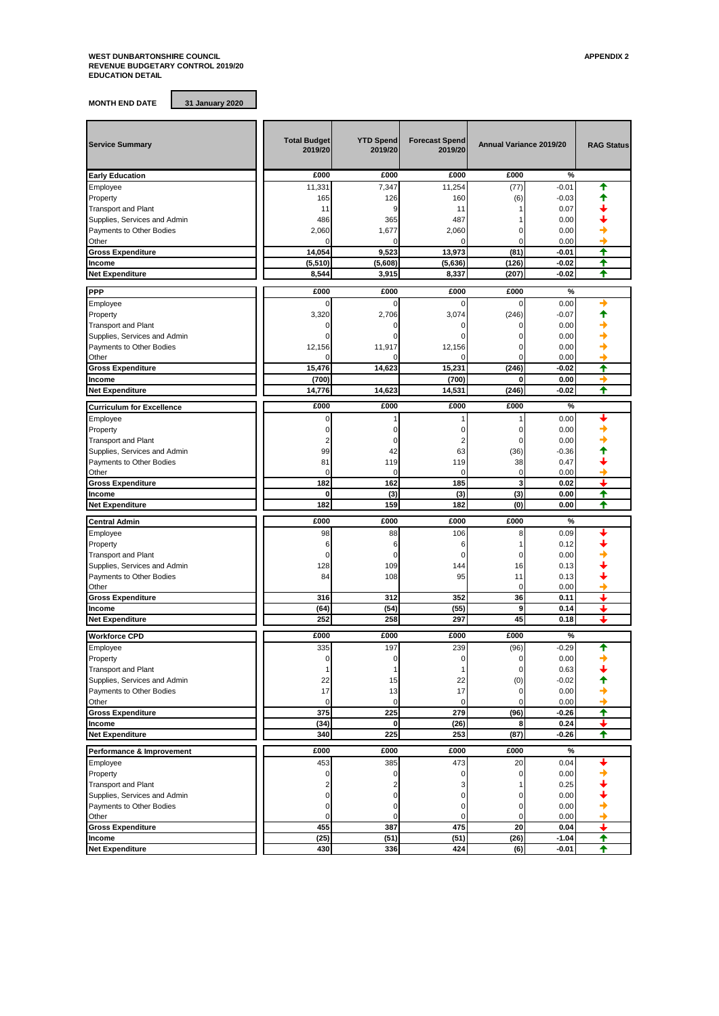## **WEST DUNBARTONSHIRE COUNCIL APPENDIX 2 REVENUE BUDGETARY CONTROL 2019/20 EDUCATION DETAIL**

**MONTH END DATE 31 January 2020**

| <b>Service Summary</b>             | <b>Total Budget</b><br>2019/20 | <b>YTD Spend</b><br>2019/20 | <b>Forecast Spend</b><br>2019/20 | Annual Variance 2019/20 |              | <b>RAG Status</b>       |
|------------------------------------|--------------------------------|-----------------------------|----------------------------------|-------------------------|--------------|-------------------------|
| <b>Early Education</b>             | £000                           | £000                        | £000                             | £000                    | $\%$         |                         |
| Employee                           | 11,331                         | 7,347                       | 11,254                           | (77)                    | $-0.01$      | ♠                       |
| Property                           | 165                            | 126                         | 160                              | (6)                     | $-0.03$      |                         |
| <b>Transport and Plant</b>         | 11                             | 9                           | 11                               |                         | 0.07         |                         |
| Supplies, Services and Admin       | 486                            | 365                         | 487                              |                         | 0.00         |                         |
| Payments to Other Bodies           | 2,060                          | 1,677                       | 2,060                            |                         | 0.00         |                         |
| Other                              |                                | 0                           | $\mathcal{C}$                    |                         | 0.00         |                         |
| <b>Gross Expenditure</b>           | 14,054                         | 9,523                       | 13,973                           | (81)                    | $-0.01$      | ♠                       |
| Income                             | (5,510)                        | (5,608)                     | (5,636)                          | (126)                   | -0.02        | ♠                       |
| <b>Net Expenditure</b>             | 8,544                          | 3,915                       | 8,337                            | (207)                   | $-0.02$      | ♠                       |
| PPP                                | £000                           | £000                        | £000                             | £000                    | $\%$         |                         |
| Employee                           | 0                              | $\Omega$                    | $\Omega$                         | 0                       | 0.00         |                         |
| Property                           | 3,320                          | 2,706                       | 3,074                            | (246)                   | $-0.07$      |                         |
| <b>Transport and Plant</b>         | 0                              | O                           | 0                                |                         | 0.00         |                         |
| Supplies, Services and Admin       | $\Omega$                       | O                           |                                  |                         | 0.00         |                         |
| Payments to Other Bodies           | 12,156                         | 11,917                      |                                  |                         | 0.00         |                         |
| Other                              |                                |                             | 12,156                           | C                       | 0.00         |                         |
| <b>Gross Expenditure</b>           | 15,476                         | 14,623                      | 15,231                           | (246)                   | $-0.02$      | ✦                       |
| Income                             | (700)                          |                             | (700)                            | 0                       | 0.00         |                         |
| <b>Net Expenditure</b>             | 14,776                         | 14,623                      | 14,531                           | (246)                   | $-0.02$      | ✦                       |
|                                    |                                |                             |                                  |                         |              |                         |
| <b>Curriculum for Excellence</b>   | £000                           | £000                        | £000                             | £000                    | $\%$         |                         |
| Employee                           | 0                              |                             |                                  |                         | 0.00         |                         |
| Property                           | 0                              | $\Omega$                    | 0                                | 0                       | 0.00         |                         |
| <b>Transport and Plant</b>         | $\overline{2}$                 | 0                           | 2                                | O                       | 0.00         |                         |
| Supplies, Services and Admin       | 99                             | 42                          | 63                               | (36)                    | $-0.36$      |                         |
| Payments to Other Bodies           | 81                             | 119                         | 119                              | 38                      | 0.47         |                         |
| Other                              | $\Omega$                       | 0                           | 0                                | $\mathbf 0$             | 0.00         |                         |
| <b>Gross Expenditure</b>           | 182                            | 162                         | 185                              | 3                       | 0.02         | ┹                       |
| Income                             | 0                              | (3)                         | (3)                              | (3)                     | 0.00         | ↟                       |
| <b>Net Expenditure</b>             | 182                            | 159                         | 182                              | (0)                     | 0.00         | ♠                       |
| <b>Central Admin</b>               | £000                           | £000                        | £000                             | £000                    | %            |                         |
| Employee                           | 98                             | 88                          | 106                              | 8                       | 0.09         |                         |
| Property                           | 6                              | 6                           | 6                                | 1                       | 0.12         |                         |
| <b>Transport and Plant</b>         | 0                              | 0                           | $\Omega$                         | 0                       | 0.00         |                         |
| Supplies, Services and Admin       | 128                            | 109                         | 144                              | 16                      | 0.13         |                         |
| Payments to Other Bodies           | 84                             | 108                         | 95                               | 11                      | 0.13         |                         |
| Other                              |                                |                             |                                  | $\mathbf 0$             | 0.00         |                         |
| <b>Gross Expenditure</b>           | 316                            | 312                         | 352                              | 36                      | 0.11         | ı                       |
| Income                             | (64)                           | (54)                        | (55)                             | 9                       | 0.14         | ı                       |
| <b>Net Expenditure</b>             | 252                            | 258                         | 297                              | 45                      | 0.18         | ı                       |
| <b>Workforce CPD</b>               | £000                           | £000                        | £000                             | £000                    | $\%$         |                         |
| Employee                           | 335                            | 197                         | 239                              | (96)                    | $-0.29$      | ↑                       |
| Property                           | 0                              | 0                           | 0                                | $\mathbf 0$             | 0.00         |                         |
|                                    |                                | 1                           | 1                                |                         | 0.63         |                         |
| <b>Transport and Plant</b>         | 1                              |                             |                                  | 0                       |              |                         |
| Supplies, Services and Admin       | 22                             | 15                          | 22                               | (0)                     | $-0.02$      |                         |
| Payments to Other Bodies           | 17<br>0                        | 13<br>0                     | 17<br>0                          | 0                       | 0.00<br>0.00 |                         |
| Other                              |                                | 225                         | 279                              | (96)                    | $-0.26$      | $\overline{\textbf{f}}$ |
| <b>Gross Expenditure</b><br>Income | 375<br>(34)                    | 0                           | (26)                             | 8                       | 0.24         | ┹                       |
| <b>Net Expenditure</b>             | 340                            | 225                         | 253                              | (87)                    | -0.26        | ✦                       |
|                                    |                                |                             |                                  |                         |              |                         |
| Performance & Improvement          | £000                           | £000                        | £000                             | £000                    | %            |                         |
| Employee                           | 453                            | 385                         | 473                              | 20                      | 0.04         |                         |
| Property                           | 0                              | 0                           | 0                                | 0                       | 0.00         |                         |
| <b>Transport and Plant</b>         | $\overline{\mathbf{c}}$        | 2                           | 3                                |                         | 0.25         |                         |
| Supplies, Services and Admin       | $\mathbf 0$                    | 0                           | $\mathbf 0$                      |                         | 0.00         |                         |
| Payments to Other Bodies           | $\overline{0}$                 | 0                           | $\mathbf 0$                      | 0                       | 0.00         |                         |
| Other                              | 0                              | 0                           | 0                                | 0                       | 0.00         |                         |
| <b>Gross Expenditure</b>           | 455                            | 387                         | 475                              | 20                      | 0.04         | ↓                       |
| Income                             | (25)                           | (51)                        | (51)                             | (26)                    | $-1.04$      | ✦                       |
| <b>Net Expenditure</b>             | 430                            | 336                         | 424                              | (6)                     | $-0.01$      | ✦                       |